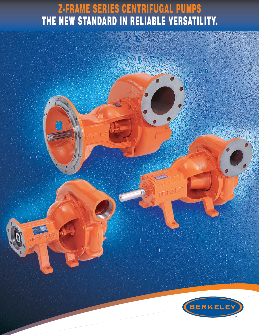## **Z-FRAME SERIES CENTRIFUGAL PUMPS THE NEW STANDARD IN RELIABLE VERSATILITY.**



BERKELEY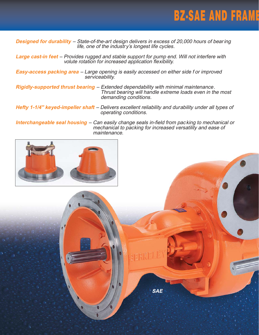

**Designed for durability** – State-of-the-art design delivers in excess of 20,000 hours of bear ing life, one of the industr y's longest life cycles.

**Large cast-in feet** – Provides rugged and stable support for pump end. Will not interfere with volute rotation for increased application flexibility.

**Easy-access packing area** – Large opening is easily accessed on either side f or improved serviceability.

**Rigidly-supported thrust bearing** – Extended dependability with minimal maintenance. Thrust bearing will handle extreme loads even in the most demanding conditions.

**Hefty 1-1/4'' keyed-impeller shaft** – Delivers excellent reliability and durability under all types of operating conditions.

**Interchangeable seal housing** – Can easily change seals in-field from pac king to mechanical or mechanical to packing for increased versatility and ease of maintenance.



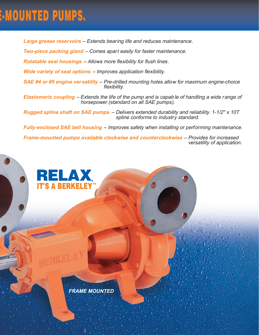## **E-MOUNTED PUMPS.**

**Large grease reservoirs** – Extends bearing life and reduces maintenance.

**Two-piece packing gland** – Comes apart easily for faster maintenance.

**Rotatable seal housings** – Allows more flexibility for flush lines.

**Wide variety of seal options** – Improves application flexibility.

**SAE #4 or #5 engine versatility** – Pre-drilled mounting holes allow for maximum engine-choice flexibility.

**Elastomeric coupling** – Extends the life of the pump and is capab le of handling a wide range of horsepower (standard on all SAE pumps).

**Rugged spline shaft on SAE pumps** – Delivers extended durability and reliability. 1-1/2'' x 10T spline conforms to industry standard.

**Fully-enclosed SAE bell housing** – Improves safety when installing or performing maintenance.

**Frame-mounted pumps available clockwise and counterclockwise** – Provides for increased versatility of application.



RELAX,